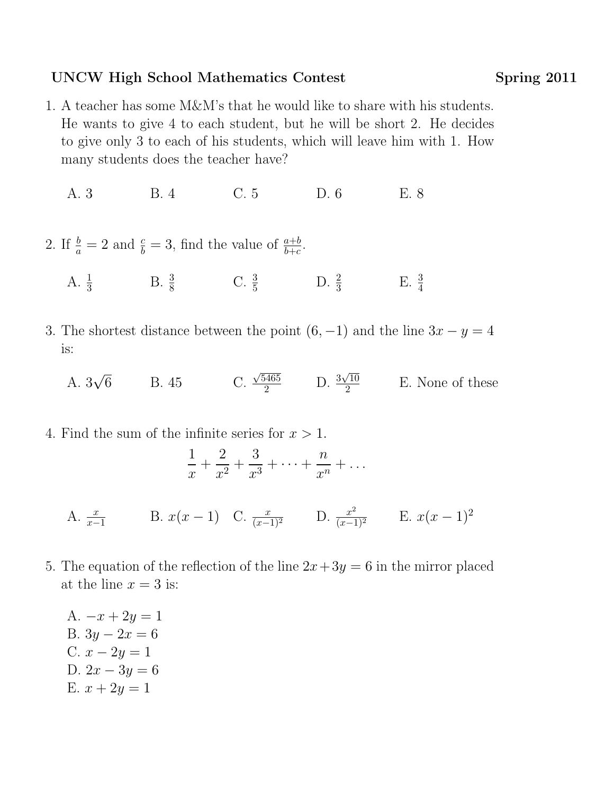## UNCW High School Mathematics Contest Spring 2011

- 1. A teacher has some M&M's that he would like to share with his students. He wants to give 4 to each student, but he will be short 2. He decides to give only 3 to each of his students, which will leave him with 1. How many students does the teacher have?
	- A. 3 B. 4 C. 5 D. 6 E. 8
- 2. If  $\frac{b}{a} = 2$  and  $\frac{c}{b} = 3$ , find the value of  $\frac{a+b}{b+c}$ .
	- A.  $\frac{1}{3}$  B.  $\frac{3}{8}$  C.  $\frac{3}{5}$  D.  $\frac{2}{3}$ E.  $\frac{3}{4}$
- 3. The shortest distance between the point  $(6, -1)$  and the line  $3x y = 4$ is:
	- A. 3 √ 6 B. 45 C. √  $\frac{5465}{2}$  D.  $\frac{3}{2}$ √ 10 2 E. None of these
- 4. Find the sum of the infinite series for  $x > 1$ . 1  $\Omega$  $\overline{Q}$

$$
\frac{1}{x} + \frac{2}{x^2} + \frac{3}{x^3} + \dots + \frac{n}{x^n} + \dots
$$

- A.  $\frac{x}{x-1}$  B.  $x(x-1)$  C.  $\frac{x}{(x-1)^2}$  D.  $\frac{x^2}{(x-1)^2}$  E.  $x(x-1)^2$
- 5. The equation of the reflection of the line  $2x+3y=6$  in the mirror placed at the line  $x = 3$  is:
	- A.  $-x + 2y = 1$ B.  $3y - 2x = 6$ C.  $x - 2y = 1$ D.  $2x - 3y = 6$ E.  $x + 2y = 1$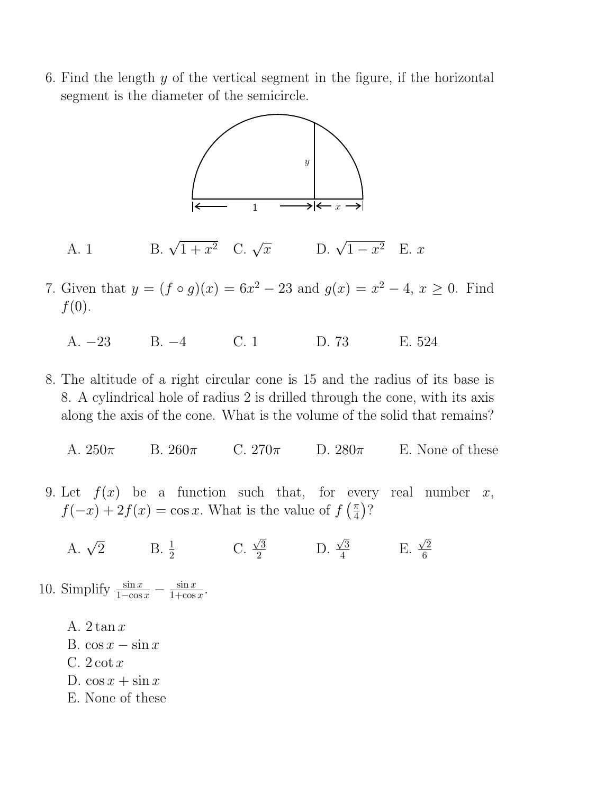6. Find the length  $y$  of the vertical segment in the figure, if the horizontal segment is the diameter of the semicircle.



A. 1 B.  $\sqrt{1+x^2}$  C.  $\sqrt{x}$  D.  $\sqrt{1-x^2}$  E. x

- 7. Given that  $y = (f \circ g)(x) = 6x^2 23$  and  $g(x) = x^2 4$ ,  $x \ge 0$ . Find  $f(0)$ .
	- A. −23 B. −4 C. 1 D. 73 E. 524
- 8. The altitude of a right circular cone is 15 and the radius of its base is 8. A cylindrical hole of radius 2 is drilled through the cone, with its axis along the axis of the cone. What is the volume of the solid that remains?
	- A.  $250\pi$  B.  $260\pi$  C.  $270\pi$  D.  $280\pi$  E. None of these
- 9. Let  $f(x)$  be a function such that, for every real number x,  $f(-x) + 2f(x) = \cos x$ . What is the value of  $f\left(\frac{\pi}{4}\right)$  $\frac{\pi}{4}$ )?
	- A.  $\sqrt{2}$  B.  $\frac{1}{2}$  C. √  $\frac{\sqrt{3}}{2}$  D. √ 3  $\frac{\sqrt{3}}{4}$  E. √ 2 6
- 10. Simplify  $\frac{\sin x}{1-\cos x} \frac{\sin x}{1+\cos x}$  $\frac{\sin x}{1+\cos x}$ .
	- A.  $2 \tan x$
	- B.  $\cos x \sin x$
	- C.  $2 \cot x$
	- D.  $\cos x + \sin x$
	- E. None of these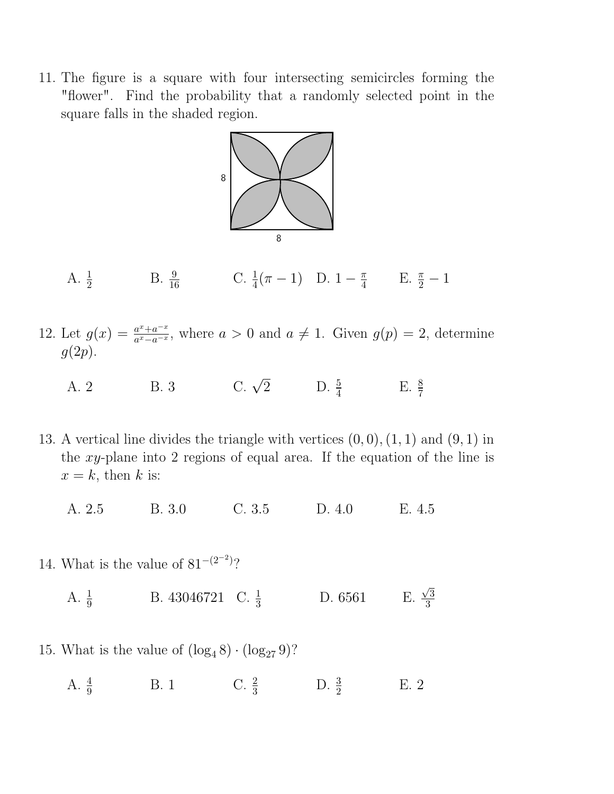11. The figure is a square with four intersecting semicircles forming the "flower". Find the probability that a randomly selected point in the square falls in the shaded region.



- A.  $\frac{1}{2}$  B.  $\frac{9}{16}$  C.  $\frac{1}{4}(\pi 1)$  D.  $1 \frac{\pi}{4}$  $\frac{\pi}{4}$  E.  $\frac{\pi}{2} - 1$
- 12. Let  $g(x) = \frac{a^x + a^{-x}}{a^x a^{-x}}$  $\frac{a^x + a^{-x}}{a^x - a^{-x}}$ , where  $a > 0$  and  $a \neq 1$ . Given  $g(p) = 2$ , determine  $g(2p)$ .
	- A. 2 B. 3 C.  $\sqrt{2}$  D.  $\frac{5}{4}$  E.  $\frac{8}{7}$
- 13. A vertical line divides the triangle with vertices  $(0,0), (1,1)$  and  $(9,1)$  in the xy-plane into 2 regions of equal area. If the equation of the line is  $x = k$ , then k is:
	- A. 2.5 B. 3.0 C. 3.5 D. 4.0 E. 4.5
- 14. What is the value of  $81^{-(2^{-2})}$ ?
	- A.  $\frac{1}{9}$  B. 43046721 C.  $\frac{1}{3}$  D. 6561 E. 3 3

√

- 15. What is the value of  $(\log_4 8) \cdot (\log_{27} 9)$ ?
	- A.  $\frac{4}{9}$ B. 1 C.  $\frac{2}{3}$  D.  $\frac{3}{2}$ E. 2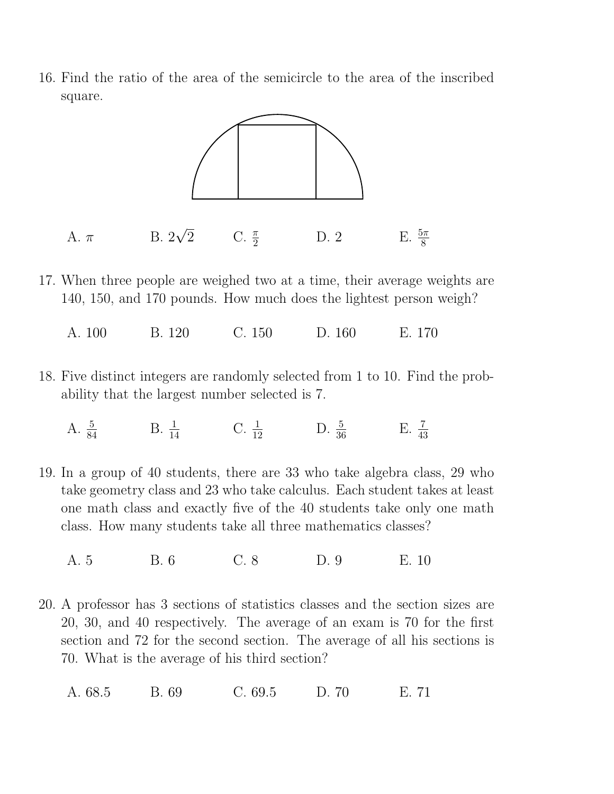16. Find the ratio of the area of the semicircle to the area of the inscribed square.



- 17. When three people are weighed two at a time, their average weights are 140, 150, and 170 pounds. How much does the lightest person weigh?
	- A. 100 B. 120 C. 150 D. 160 E. 170
- 18. Five distinct integers are randomly selected from 1 to 10. Find the probability that the largest number selected is 7.
	- A.  $\frac{5}{84}$  B.  $\frac{1}{14}$  C.  $\frac{1}{12}$  D.  $\frac{5}{36}$  E.  $\frac{7}{43}$
- 19. In a group of 40 students, there are 33 who take algebra class, 29 who take geometry class and 23 who take calculus. Each student takes at least one math class and exactly five of the 40 students take only one math class. How many students take all three mathematics classes?
	- A. 5 B. 6 C. 8 D. 9 E. 10
- 20. A professor has 3 sections of statistics classes and the section sizes are 20, 30, and 40 respectively. The average of an exam is 70 for the first section and 72 for the second section. The average of all his sections is 70. What is the average of his third section?
	- A. 68.5 B. 69 C. 69.5 D. 70 E. 71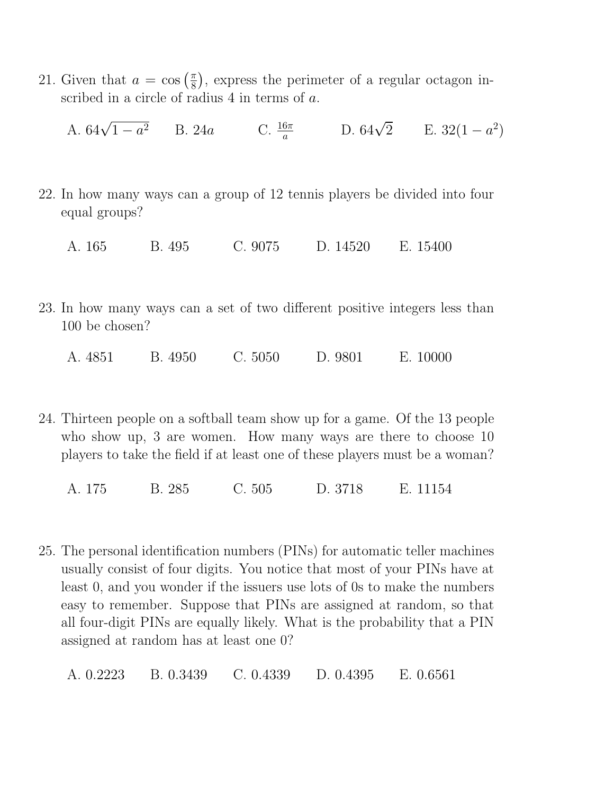21. Given that  $a = \cos\left(\frac{\pi}{8}\right)$  $\frac{\pi}{8}$ , express the perimeter of a regular octagon inscribed in a circle of radius 4 in terms of a.

A. 
$$
64\sqrt{1-a^2}
$$
 B. 24a C.  $\frac{16\pi}{a}$  D.  $64\sqrt{2}$  E. 32(1 - a<sup>2</sup>)

- 22. In how many ways can a group of 12 tennis players be divided into four equal groups?
	- A. 165 B. 495 C. 9075 D. 14520 E. 15400
- 23. In how many ways can a set of two different positive integers less than 100 be chosen?
	- A. 4851 B. 4950 C. 5050 D. 9801 E. 10000
- 24. Thirteen people on a softball team show up for a game. Of the 13 people who show up, 3 are women. How many ways are there to choose 10 players to take the field if at least one of these players must be a woman?
	- A. 175 B. 285 C. 505 D. 3718 E. 11154
- 25. The personal identification numbers (PINs) for automatic teller machines usually consist of four digits. You notice that most of your PINs have at least 0, and you wonder if the issuers use lots of 0s to make the numbers easy to remember. Suppose that PINs are assigned at random, so that all four-digit PINs are equally likely. What is the probability that a PIN assigned at random has at least one 0?

A. 0.2223 B. 0.3439 C. 0.4339 D. 0.4395 E. 0.6561